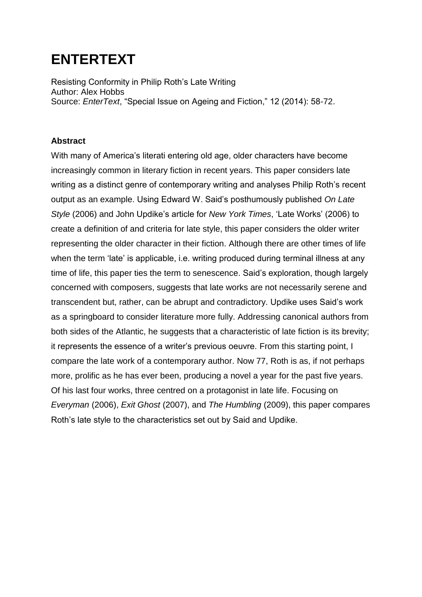## **ENTERTEXT**

Resisting Conformity in Philip Roth's Late Writing Author: Alex Hobbs Source: *EnterText*, "Special Issue on Ageing and Fiction," 12 (2014): 58-72.

## **Abstract**

With many of America's literati entering old age, older characters have become increasingly common in literary fiction in recent years. This paper considers late writing as a distinct genre of contemporary writing and analyses Philip Roth's recent output as an example. Using Edward W. Said's posthumously published *On Late Style* (2006) and John Updike's article for *New York Times*, 'Late Works' (2006) to create a definition of and criteria for late style, this paper considers the older writer representing the older character in their fiction. Although there are other times of life when the term 'late' is applicable, i.e. writing produced during terminal illness at any time of life, this paper ties the term to senescence. Said's exploration, though largely concerned with composers, suggests that late works are not necessarily serene and transcendent but, rather, can be abrupt and contradictory. Updike uses Said's work as a springboard to consider literature more fully. Addressing canonical authors from both sides of the Atlantic, he suggests that a characteristic of late fiction is its brevity; it represents the essence of a writer's previous oeuvre. From this starting point, I compare the late work of a contemporary author. Now 77, Roth is as, if not perhaps more, prolific as he has ever been, producing a novel a year for the past five years. Of his last four works, three centred on a protagonist in late life. Focusing on *Everyman* (2006), *Exit Ghost* (2007), and *The Humbling* (2009), this paper compares Roth's late style to the characteristics set out by Said and Updike.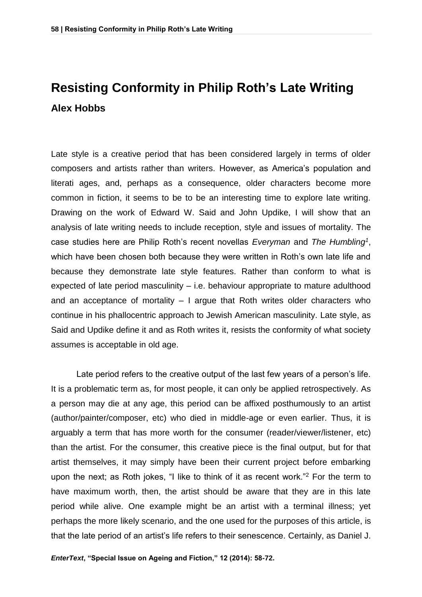## **Resisting Conformity in Philip Roth's Late Writing Alex Hobbs**

Late style is a creative period that has been considered largely in terms of older composers and artists rather than writers. However, as America's population and literati ages, and, perhaps as a consequence, older characters become more common in fiction, it seems to be to be an interesting time to explore late writing. Drawing on the work of Edward W. Said and John Updike, I will show that an analysis of late writing needs to include reception, style and issues of mortality. The case studies here are Philip Roth's recent novellas *Everyman* and *The Humbling<sup>1</sup>* , which have been chosen both because they were written in Roth's own late life and because they demonstrate late style features. Rather than conform to what is expected of late period masculinity – i.e. behaviour appropriate to mature adulthood and an acceptance of mortality – I argue that Roth writes older characters who continue in his phallocentric approach to Jewish American masculinity. Late style, as Said and Updike define it and as Roth writes it, resists the conformity of what society assumes is acceptable in old age.

Late period refers to the creative output of the last few years of a person's life. It is a problematic term as, for most people, it can only be applied retrospectively. As a person may die at any age, this period can be affixed posthumously to an artist (author/painter/composer, etc) who died in middle-age or even earlier. Thus, it is arguably a term that has more worth for the consumer (reader/viewer/listener, etc) than the artist. For the consumer, this creative piece is the final output, but for that artist themselves, it may simply have been their current project before embarking upon the next; as Roth jokes, "I like to think of it as recent work."<sup>2</sup> For the term to have maximum worth, then, the artist should be aware that they are in this late period while alive. One example might be an artist with a terminal illness; yet perhaps the more likely scenario, and the one used for the purposes of this article, is that the late period of an artist's life refers to their senescence. Certainly, as Daniel J.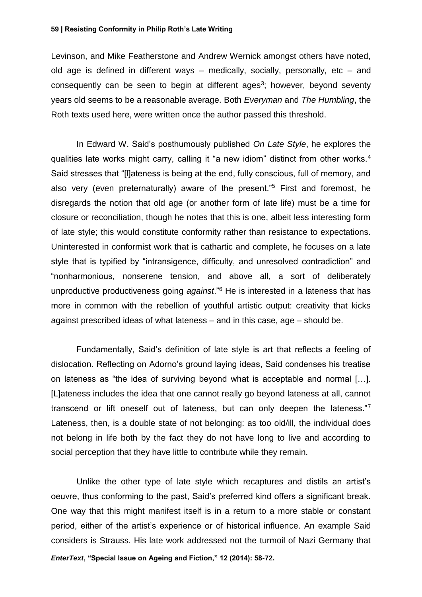Levinson, and Mike Featherstone and Andrew Wernick amongst others have noted, old age is defined in different ways – medically, socially, personally, etc – and consequently can be seen to begin at different ages<sup>3</sup>; however, beyond seventy years old seems to be a reasonable average. Both *Everyman* and *The Humbling*, the Roth texts used here, were written once the author passed this threshold.

In Edward W. Said's posthumously published *On Late Style*, he explores the qualities late works might carry, calling it "a new idiom" distinct from other works.<sup>4</sup> Said stresses that "[l]ateness is being at the end, fully conscious, full of memory, and also very (even preternaturally) aware of the present."<sup>5</sup> First and foremost, he disregards the notion that old age (or another form of late life) must be a time for closure or reconciliation, though he notes that this is one, albeit less interesting form of late style; this would constitute conformity rather than resistance to expectations. Uninterested in conformist work that is cathartic and complete, he focuses on a late style that is typified by "intransigence, difficulty, and unresolved contradiction" and "nonharmonious, nonserene tension, and above all, a sort of deliberately unproductive productiveness going *against*."<sup>6</sup> He is interested in a lateness that has more in common with the rebellion of youthful artistic output: creativity that kicks against prescribed ideas of what lateness – and in this case, age – should be.

Fundamentally, Said's definition of late style is art that reflects a feeling of dislocation. Reflecting on Adorno's ground laying ideas, Said condenses his treatise on lateness as "the idea of surviving beyond what is acceptable and normal […]. [L]ateness includes the idea that one cannot really go beyond lateness at all, cannot transcend or lift oneself out of lateness, but can only deepen the lateness."<sup>7</sup> Lateness, then, is a double state of not belonging: as too old/ill, the individual does not belong in life both by the fact they do not have long to live and according to social perception that they have little to contribute while they remain.

*EnterText***, "Special Issue on Ageing and Fiction," 12 (2014): 58-72.** Unlike the other type of late style which recaptures and distils an artist's oeuvre, thus conforming to the past, Said's preferred kind offers a significant break. One way that this might manifest itself is in a return to a more stable or constant period, either of the artist's experience or of historical influence. An example Said considers is Strauss. His late work addressed not the turmoil of Nazi Germany that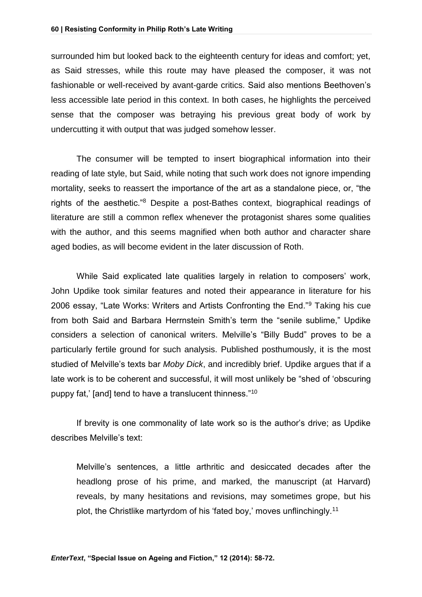surrounded him but looked back to the eighteenth century for ideas and comfort; yet, as Said stresses, while this route may have pleased the composer, it was not fashionable or well-received by avant-garde critics. Said also mentions Beethoven's less accessible late period in this context. In both cases, he highlights the perceived sense that the composer was betraying his previous great body of work by undercutting it with output that was judged somehow lesser.

The consumer will be tempted to insert biographical information into their reading of late style, but Said, while noting that such work does not ignore impending mortality, seeks to reassert the importance of the art as a standalone piece, or, "the rights of the aesthetic."<sup>8</sup> Despite a post-Bathes context, biographical readings of literature are still a common reflex whenever the protagonist shares some qualities with the author, and this seems magnified when both author and character share aged bodies, as will become evident in the later discussion of Roth.

While Said explicated late qualities largely in relation to composers' work, John Updike took similar features and noted their appearance in literature for his 2006 essay, "Late Works: Writers and Artists Confronting the End."<sup>9</sup> Taking his cue from both Said and Barbara Herrnstein Smith's term the "senile sublime," Updike considers a selection of canonical writers. Melville's "Billy Budd" proves to be a particularly fertile ground for such analysis. Published posthumously, it is the most studied of Melville's texts bar *Moby Dick*, and incredibly brief. Updike argues that if a late work is to be coherent and successful, it will most unlikely be "shed of 'obscuring puppy fat,' [and] tend to have a translucent thinness."<sup>10</sup>

If brevity is one commonality of late work so is the author's drive; as Updike describes Melville's text:

Melville's sentences, a little arthritic and desiccated decades after the headlong prose of his prime, and marked, the manuscript (at Harvard) reveals, by many hesitations and revisions, may sometimes grope, but his plot, the Christlike martyrdom of his 'fated boy,' moves unflinchingly.11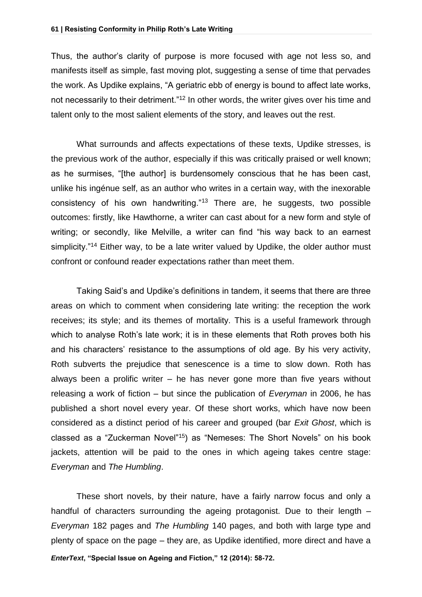Thus, the author's clarity of purpose is more focused with age not less so, and manifests itself as simple, fast moving plot, suggesting a sense of time that pervades the work. As Updike explains, "A geriatric ebb of energy is bound to affect late works, not necessarily to their detriment."<sup>12</sup> In other words, the writer gives over his time and talent only to the most salient elements of the story, and leaves out the rest.

What surrounds and affects expectations of these texts, Updike stresses, is the previous work of the author, especially if this was critically praised or well known; as he surmises, "[the author] is burdensomely conscious that he has been cast, unlike his ingénue self, as an author who writes in a certain way, with the inexorable consistency of his own handwriting."<sup>13</sup> There are, he suggests, two possible outcomes: firstly, like Hawthorne, a writer can cast about for a new form and style of writing; or secondly, like Melville, a writer can find "his way back to an earnest simplicity."<sup>14</sup> Either way, to be a late writer valued by Updike, the older author must confront or confound reader expectations rather than meet them.

Taking Said's and Updike's definitions in tandem, it seems that there are three areas on which to comment when considering late writing: the reception the work receives; its style; and its themes of mortality. This is a useful framework through which to analyse Roth's late work; it is in these elements that Roth proves both his and his characters' resistance to the assumptions of old age. By his very activity, Roth subverts the prejudice that senescence is a time to slow down. Roth has always been a prolific writer – he has never gone more than five years without releasing a work of fiction – but since the publication of *Everyman* in 2006, he has published a short novel every year. Of these short works, which have now been considered as a distinct period of his career and grouped (bar *Exit Ghost*, which is classed as a "Zuckerman Novel"<sup>15</sup>) as "Nemeses: The Short Novels" on his book jackets, attention will be paid to the ones in which ageing takes centre stage: *Everyman* and *The Humbling*.

*EnterText***, "Special Issue on Ageing and Fiction," 12 (2014): 58-72.** These short novels, by their nature, have a fairly narrow focus and only a handful of characters surrounding the ageing protagonist. Due to their length – *Everyman* 182 pages and *The Humbling* 140 pages, and both with large type and plenty of space on the page – they are, as Updike identified, more direct and have a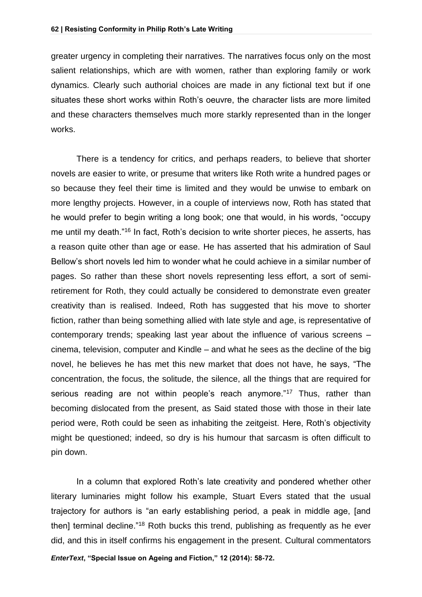greater urgency in completing their narratives. The narratives focus only on the most salient relationships, which are with women, rather than exploring family or work dynamics. Clearly such authorial choices are made in any fictional text but if one situates these short works within Roth's oeuvre, the character lists are more limited and these characters themselves much more starkly represented than in the longer works.

There is a tendency for critics, and perhaps readers, to believe that shorter novels are easier to write, or presume that writers like Roth write a hundred pages or so because they feel their time is limited and they would be unwise to embark on more lengthy projects. However, in a couple of interviews now, Roth has stated that he would prefer to begin writing a long book; one that would, in his words, "occupy me until my death."<sup>16</sup> In fact, Roth's decision to write shorter pieces, he asserts, has a reason quite other than age or ease. He has asserted that his admiration of Saul Bellow's short novels led him to wonder what he could achieve in a similar number of pages. So rather than these short novels representing less effort, a sort of semiretirement for Roth, they could actually be considered to demonstrate even greater creativity than is realised. Indeed, Roth has suggested that his move to shorter fiction, rather than being something allied with late style and age, is representative of contemporary trends; speaking last year about the influence of various screens – cinema, television, computer and Kindle – and what he sees as the decline of the big novel, he believes he has met this new market that does not have, he says, "The concentration, the focus, the solitude, the silence, all the things that are required for serious reading are not within people's reach anymore."<sup>17</sup> Thus, rather than becoming dislocated from the present, as Said stated those with those in their late period were, Roth could be seen as inhabiting the zeitgeist. Here, Roth's objectivity might be questioned; indeed, so dry is his humour that sarcasm is often difficult to pin down.

In a column that explored Roth's late creativity and pondered whether other literary luminaries might follow his example, Stuart Evers stated that the usual trajectory for authors is "an early establishing period, a peak in middle age, [and then] terminal decline."<sup>18</sup> Roth bucks this trend, publishing as frequently as he ever did, and this in itself confirms his engagement in the present. Cultural commentators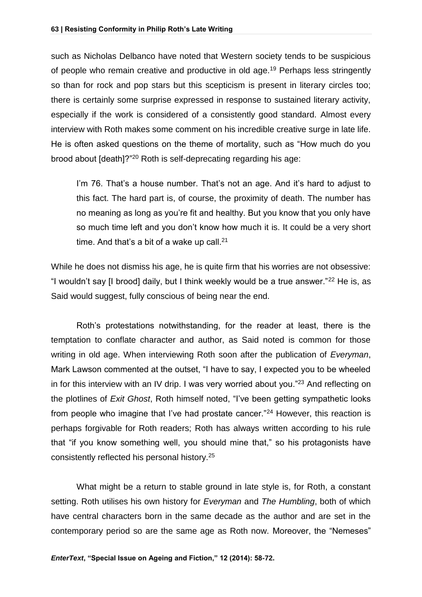such as Nicholas Delbanco have noted that Western society tends to be suspicious of people who remain creative and productive in old age.<sup>19</sup> Perhaps less stringently so than for rock and pop stars but this scepticism is present in literary circles too; there is certainly some surprise expressed in response to sustained literary activity, especially if the work is considered of a consistently good standard. Almost every interview with Roth makes some comment on his incredible creative surge in late life. He is often asked questions on the theme of mortality, such as "How much do you brood about [death]?"<sup>20</sup> Roth is self-deprecating regarding his age:

I'm 76. That's a house number. That's not an age. And it's hard to adjust to this fact. The hard part is, of course, the proximity of death. The number has no meaning as long as you're fit and healthy. But you know that you only have so much time left and you don't know how much it is. It could be a very short time. And that's a bit of a wake up call. $21$ 

While he does not dismiss his age, he is quite firm that his worries are not obsessive: "I wouldn't say [I brood] daily, but I think weekly would be a true answer."<sup>22</sup> He is, as Said would suggest, fully conscious of being near the end.

Roth's protestations notwithstanding, for the reader at least, there is the temptation to conflate character and author, as Said noted is common for those writing in old age. When interviewing Roth soon after the publication of *Everyman*, Mark Lawson commented at the outset, "I have to say, I expected you to be wheeled in for this interview with an IV drip. I was very worried about you."<sup>23</sup> And reflecting on the plotlines of *Exit Ghost*, Roth himself noted, "I've been getting sympathetic looks from people who imagine that I've had prostate cancer."<sup>24</sup> However, this reaction is perhaps forgivable for Roth readers; Roth has always written according to his rule that "if you know something well, you should mine that," so his protagonists have consistently reflected his personal history.<sup>25</sup>

What might be a return to stable ground in late style is, for Roth, a constant setting. Roth utilises his own history for *Everyman* and *The Humbling*, both of which have central characters born in the same decade as the author and are set in the contemporary period so are the same age as Roth now. Moreover, the "Nemeses"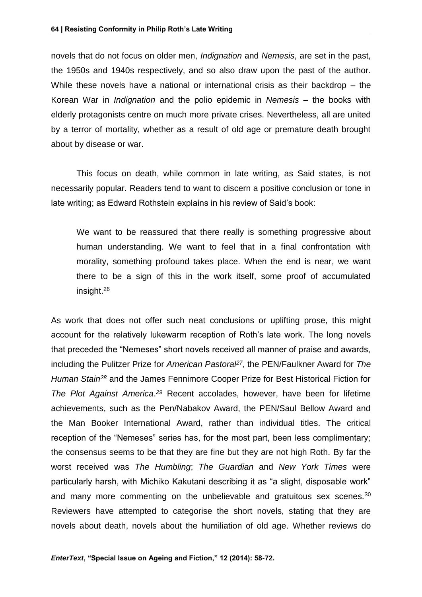novels that do not focus on older men, *Indignation* and *Nemesis*, are set in the past, the 1950s and 1940s respectively, and so also draw upon the past of the author. While these novels have a national or international crisis as their backdrop – the Korean War in *Indignation* and the polio epidemic in *Nemesis* – the books with elderly protagonists centre on much more private crises. Nevertheless, all are united by a terror of mortality, whether as a result of old age or premature death brought about by disease or war.

This focus on death, while common in late writing, as Said states, is not necessarily popular. Readers tend to want to discern a positive conclusion or tone in late writing; as Edward Rothstein explains in his review of Said's book:

We want to be reassured that there really is something progressive about human understanding. We want to feel that in a final confrontation with morality, something profound takes place. When the end is near, we want there to be a sign of this in the work itself, some proof of accumulated insight.<sup>26</sup>

As work that does not offer such neat conclusions or uplifting prose, this might account for the relatively lukewarm reception of Roth's late work. The long novels that preceded the "Nemeses" short novels received all manner of praise and awards, including the Pulitzer Prize for *American Pastoral<sup>27</sup>*, the PEN/Faulkner Award for *The Human Stain<sup>28</sup>* and the James Fennimore Cooper Prize for Best Historical Fiction for *The Plot Against America*. *<sup>29</sup>* Recent accolades, however, have been for lifetime achievements, such as the Pen/Nabakov Award, the PEN/Saul Bellow Award and the Man Booker International Award, rather than individual titles. The critical reception of the "Nemeses" series has, for the most part, been less complimentary; the consensus seems to be that they are fine but they are not high Roth. By far the worst received was *The Humbling*; *The Guardian* and *New York Times* were particularly harsh, with Michiko Kakutani describing it as "a slight, disposable work" and many more commenting on the unbelievable and gratuitous sex scenes.<sup>30</sup> Reviewers have attempted to categorise the short novels, stating that they are novels about death, novels about the humiliation of old age. Whether reviews do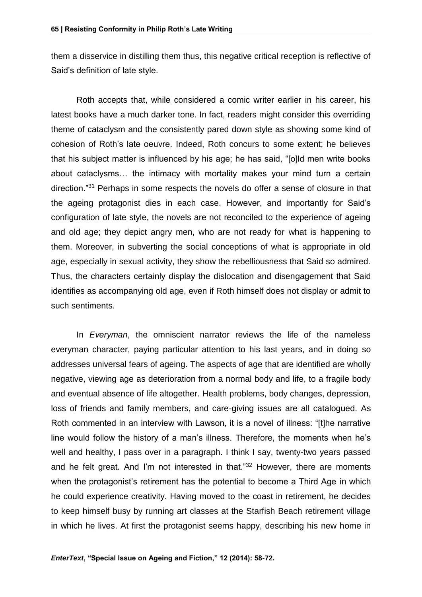them a disservice in distilling them thus, this negative critical reception is reflective of Said's definition of late style.

Roth accepts that, while considered a comic writer earlier in his career, his latest books have a much darker tone. In fact, readers might consider this overriding theme of cataclysm and the consistently pared down style as showing some kind of cohesion of Roth's late oeuvre. Indeed, Roth concurs to some extent; he believes that his subject matter is influenced by his age; he has said, "[o]ld men write books about cataclysms… the intimacy with mortality makes your mind turn a certain direction."<sup>31</sup> Perhaps in some respects the novels do offer a sense of closure in that the ageing protagonist dies in each case. However, and importantly for Said's configuration of late style, the novels are not reconciled to the experience of ageing and old age; they depict angry men, who are not ready for what is happening to them. Moreover, in subverting the social conceptions of what is appropriate in old age, especially in sexual activity, they show the rebelliousness that Said so admired. Thus, the characters certainly display the dislocation and disengagement that Said identifies as accompanying old age, even if Roth himself does not display or admit to such sentiments.

In *Everyman*, the omniscient narrator reviews the life of the nameless everyman character, paying particular attention to his last years, and in doing so addresses universal fears of ageing. The aspects of age that are identified are wholly negative, viewing age as deterioration from a normal body and life, to a fragile body and eventual absence of life altogether. Health problems, body changes, depression, loss of friends and family members, and care-giving issues are all catalogued. As Roth commented in an interview with Lawson, it is a novel of illness: "[t]he narrative line would follow the history of a man's illness. Therefore, the moments when he's well and healthy, I pass over in a paragraph. I think I say, twenty-two years passed and he felt great. And I'm not interested in that."<sup>32</sup> However, there are moments when the protagonist's retirement has the potential to become a Third Age in which he could experience creativity. Having moved to the coast in retirement, he decides to keep himself busy by running art classes at the Starfish Beach retirement village in which he lives. At first the protagonist seems happy, describing his new home in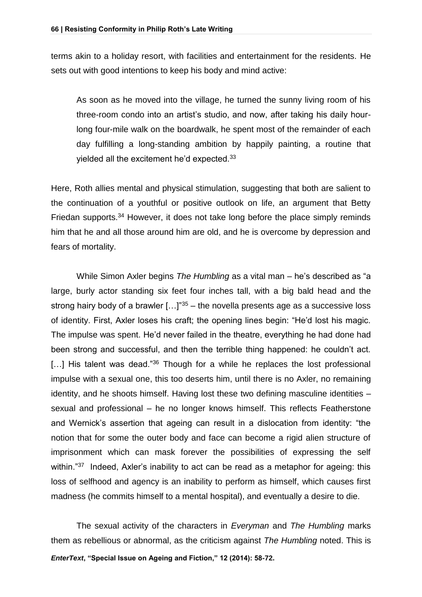terms akin to a holiday resort, with facilities and entertainment for the residents. He sets out with good intentions to keep his body and mind active:

As soon as he moved into the village, he turned the sunny living room of his three-room condo into an artist's studio, and now, after taking his daily hourlong four-mile walk on the boardwalk, he spent most of the remainder of each day fulfilling a long-standing ambition by happily painting, a routine that yielded all the excitement he'd expected.<sup>33</sup>

Here, Roth allies mental and physical stimulation, suggesting that both are salient to the continuation of a youthful or positive outlook on life, an argument that Betty Friedan supports.<sup>34</sup> However, it does not take long before the place simply reminds him that he and all those around him are old, and he is overcome by depression and fears of mortality.

While Simon Axler begins *The Humbling* as a vital man – he's described as "a large, burly actor standing six feet four inches tall, with a big bald head and the strong hairy body of a brawler  $[...]^{35}$  – the novella presents age as a successive loss of identity. First, Axler loses his craft; the opening lines begin: "He'd lost his magic. The impulse was spent. He'd never failed in the theatre, everything he had done had been strong and successful, and then the terrible thing happened: he couldn't act.  $[...]$  His talent was dead."<sup>36</sup> Though for a while he replaces the lost professional impulse with a sexual one, this too deserts him, until there is no Axler, no remaining identity, and he shoots himself. Having lost these two defining masculine identities – sexual and professional – he no longer knows himself. This reflects Featherstone and Wernick's assertion that ageing can result in a dislocation from identity: "the notion that for some the outer body and face can become a rigid alien structure of imprisonment which can mask forever the possibilities of expressing the self within."<sup>37</sup> Indeed, Axler's inability to act can be read as a metaphor for ageing: this loss of selfhood and agency is an inability to perform as himself, which causes first madness (he commits himself to a mental hospital), and eventually a desire to die.

*EnterText***, "Special Issue on Ageing and Fiction," 12 (2014): 58-72.** The sexual activity of the characters in *Everyman* and *The Humbling* marks them as rebellious or abnormal, as the criticism against *The Humbling* noted. This is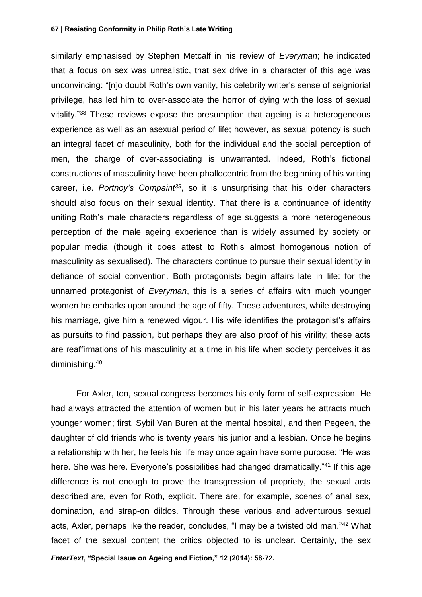similarly emphasised by Stephen Metcalf in his review of *Everyman*; he indicated that a focus on sex was unrealistic, that sex drive in a character of this age was unconvincing: "[n]o doubt Roth's own vanity, his celebrity writer's sense of seigniorial privilege, has led him to over-associate the horror of dying with the loss of sexual vitality."<sup>38</sup> These reviews expose the presumption that ageing is a heterogeneous experience as well as an asexual period of life; however, as sexual potency is such an integral facet of masculinity, both for the individual and the social perception of men, the charge of over-associating is unwarranted. Indeed, Roth's fictional constructions of masculinity have been phallocentric from the beginning of his writing career, i.e. *Portnoy's Compaint<sup>39</sup>*, so it is unsurprising that his older characters should also focus on their sexual identity. That there is a continuance of identity uniting Roth's male characters regardless of age suggests a more heterogeneous perception of the male ageing experience than is widely assumed by society or popular media (though it does attest to Roth's almost homogenous notion of masculinity as sexualised). The characters continue to pursue their sexual identity in defiance of social convention. Both protagonists begin affairs late in life: for the unnamed protagonist of *Everyman*, this is a series of affairs with much younger women he embarks upon around the age of fifty. These adventures, while destroying his marriage, give him a renewed vigour. His wife identifies the protagonist's affairs as pursuits to find passion, but perhaps they are also proof of his virility; these acts are reaffirmations of his masculinity at a time in his life when society perceives it as diminishing.<sup>40</sup>

*EnterText***, "Special Issue on Ageing and Fiction," 12 (2014): 58-72.** For Axler, too, sexual congress becomes his only form of self-expression. He had always attracted the attention of women but in his later years he attracts much younger women; first, Sybil Van Buren at the mental hospital, and then Pegeen, the daughter of old friends who is twenty years his junior and a lesbian. Once he begins a relationship with her, he feels his life may once again have some purpose: "He was here. She was here. Everyone's possibilities had changed dramatically."<sup>41</sup> If this age difference is not enough to prove the transgression of propriety, the sexual acts described are, even for Roth, explicit. There are, for example, scenes of anal sex, domination, and strap-on dildos. Through these various and adventurous sexual acts, Axler, perhaps like the reader, concludes, "I may be a twisted old man."<sup>42</sup> What facet of the sexual content the critics objected to is unclear. Certainly, the sex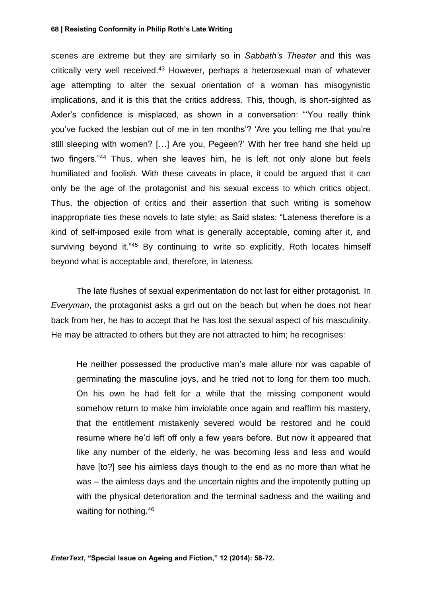scenes are extreme but they are similarly so in *Sabbath's Theater* and this was critically very well received.<sup>43</sup> However, perhaps a heterosexual man of whatever age attempting to alter the sexual orientation of a woman has misogynistic implications, and it is this that the critics address. This, though, is short-sighted as Axler's confidence is misplaced, as shown in a conversation: "'You really think you've fucked the lesbian out of me in ten months'? 'Are you telling me that you're still sleeping with women? […] Are you, Pegeen?' With her free hand she held up two fingers."<sup>44</sup> Thus, when she leaves him, he is left not only alone but feels humiliated and foolish. With these caveats in place, it could be argued that it can only be the age of the protagonist and his sexual excess to which critics object. Thus, the objection of critics and their assertion that such writing is somehow inappropriate ties these novels to late style; as Said states: "Lateness therefore is a kind of self-imposed exile from what is generally acceptable, coming after it, and surviving beyond it."45 By continuing to write so explicitly, Roth locates himself beyond what is acceptable and, therefore, in lateness.

The late flushes of sexual experimentation do not last for either protagonist. In *Everyman*, the protagonist asks a girl out on the beach but when he does not hear back from her, he has to accept that he has lost the sexual aspect of his masculinity. He may be attracted to others but they are not attracted to him; he recognises:

He neither possessed the productive man's male allure nor was capable of germinating the masculine joys, and he tried not to long for them too much. On his own he had felt for a while that the missing component would somehow return to make him inviolable once again and reaffirm his mastery, that the entitlement mistakenly severed would be restored and he could resume where he'd left off only a few years before. But now it appeared that like any number of the elderly, he was becoming less and less and would have [to?] see his aimless days though to the end as no more than what he was – the aimless days and the uncertain nights and the impotently putting up with the physical deterioration and the terminal sadness and the waiting and waiting for nothing.<sup>46</sup>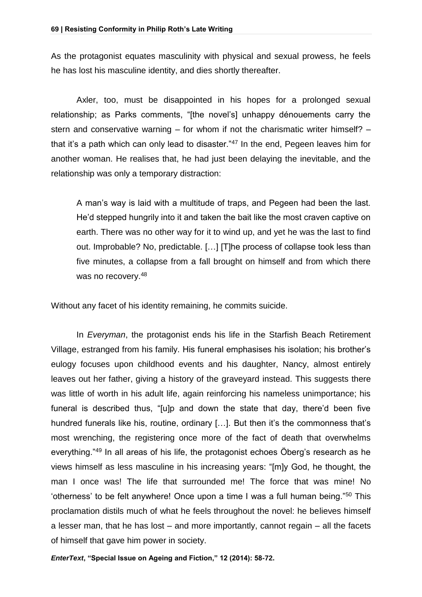As the protagonist equates masculinity with physical and sexual prowess, he feels he has lost his masculine identity, and dies shortly thereafter.

Axler, too, must be disappointed in his hopes for a prolonged sexual relationship; as Parks comments, "[the novel's] unhappy dénouements carry the stern and conservative warning – for whom if not the charismatic writer himself? – that it's a path which can only lead to disaster."<sup>47</sup> In the end, Pegeen leaves him for another woman. He realises that, he had just been delaying the inevitable, and the relationship was only a temporary distraction:

A man's way is laid with a multitude of traps, and Pegeen had been the last. He'd stepped hungrily into it and taken the bait like the most craven captive on earth. There was no other way for it to wind up, and yet he was the last to find out. Improbable? No, predictable. […] [T]he process of collapse took less than five minutes, a collapse from a fall brought on himself and from which there was no recovery.<sup>48</sup>

Without any facet of his identity remaining, he commits suicide.

In *Everyman*, the protagonist ends his life in the Starfish Beach Retirement Village, estranged from his family. His funeral emphasises his isolation; his brother's eulogy focuses upon childhood events and his daughter, Nancy, almost entirely leaves out her father, giving a history of the graveyard instead. This suggests there was little of worth in his adult life, again reinforcing his nameless unimportance; his funeral is described thus, "[u]p and down the state that day, there'd been five hundred funerals like his, routine, ordinary […]. But then it's the commonness that's most wrenching, the registering once more of the fact of death that overwhelms everything."<sup>49</sup> In all areas of his life, the protagonist echoes Öberg's research as he views himself as less masculine in his increasing years: "[m]y God, he thought, the man I once was! The life that surrounded me! The force that was mine! No 'otherness' to be felt anywhere! Once upon a time I was a full human being."<sup>50</sup> This proclamation distils much of what he feels throughout the novel: he believes himself a lesser man, that he has lost – and more importantly, cannot regain – all the facets of himself that gave him power in society.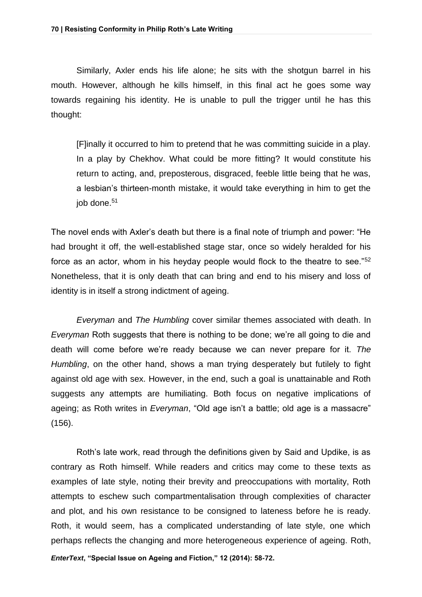Similarly, Axler ends his life alone; he sits with the shotgun barrel in his mouth. However, although he kills himself, in this final act he goes some way towards regaining his identity. He is unable to pull the trigger until he has this thought:

[F]inally it occurred to him to pretend that he was committing suicide in a play. In a play by Chekhov. What could be more fitting? It would constitute his return to acting, and, preposterous, disgraced, feeble little being that he was, a lesbian's thirteen-month mistake, it would take everything in him to get the job done.<sup>51</sup>

The novel ends with Axler's death but there is a final note of triumph and power: "He had brought it off, the well-established stage star, once so widely heralded for his force as an actor, whom in his heyday people would flock to the theatre to see."<sup>52</sup> Nonetheless, that it is only death that can bring and end to his misery and loss of identity is in itself a strong indictment of ageing.

*Everyman* and *The Humbling* cover similar themes associated with death. In *Everyman* Roth suggests that there is nothing to be done; we're all going to die and death will come before we're ready because we can never prepare for it. *The Humbling*, on the other hand, shows a man trying desperately but futilely to fight against old age with sex. However, in the end, such a goal is unattainable and Roth suggests any attempts are humiliating. Both focus on negative implications of ageing; as Roth writes in *Everyman*, "Old age isn't a battle; old age is a massacre" (156).

Roth's late work, read through the definitions given by Said and Updike, is as contrary as Roth himself. While readers and critics may come to these texts as examples of late style, noting their brevity and preoccupations with mortality, Roth attempts to eschew such compartmentalisation through complexities of character and plot, and his own resistance to be consigned to lateness before he is ready. Roth, it would seem, has a complicated understanding of late style, one which perhaps reflects the changing and more heterogeneous experience of ageing. Roth,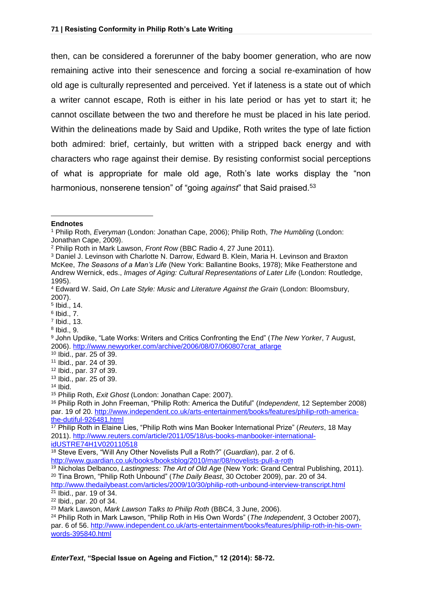then, can be considered a forerunner of the baby boomer generation, who are now remaining active into their senescence and forcing a social re-examination of how old age is culturally represented and perceived. Yet if lateness is a state out of which a writer cannot escape, Roth is either in his late period or has yet to start it; he cannot oscillate between the two and therefore he must be placed in his late period. Within the delineations made by Said and Updike, Roth writes the type of late fiction both admired: brief, certainly, but written with a stripped back energy and with characters who rage against their demise. By resisting conformist social perceptions of what is appropriate for male old age, Roth's late works display the "non harmonious, nonserene tension" of "going *against*" that Said praised.<sup>53</sup>

- 7 Ibid., 13.
- 8 Ibid., 9.

<sup>22</sup> Ibid., par. 20 of 34.

<sup>1</sup> **Endnotes**

<sup>1</sup> Philip Roth, *Everyman* (London: Jonathan Cape, 2006); Philip Roth, *The Humbling* (London: Jonathan Cape, 2009).

<sup>2</sup> Philip Roth in Mark Lawson, *Front Row* (BBC Radio 4, 27 June 2011).

<sup>3</sup> Daniel J. Levinson with Charlotte N. Darrow, Edward B. Klein, Maria H. Levinson and Braxton McKee, *The Seasons of a Man's Life* (New York: Ballantine Books, 1978); Mike Featherstone and Andrew Wernick, eds., *Images of Aging: Cultural Representations of Later Life* (London: Routledge, 1995).

<sup>4</sup> Edward W. Said, *On Late Style: Music and Literature Against the Grain* (London: Bloomsbury, 2007).

<sup>5</sup> Ibid., 14.

<sup>6</sup> Ibid., 7.

<sup>9</sup> John Updike, "Late Works: Writers and Critics Confronting the End" (*The New Yorker*, 7 August, 2006). [http://www.newyorker.com/archive/2006/08/07/060807crat\\_atlarge](http://www.newyorker.com/archive/2006/08/07/060807crat_atlarge)

<sup>10</sup> Ibid., par. 25 of 39.

<sup>11</sup> Ibid., par. 24 of 39.

<sup>12</sup> Ibid., par. 37 of 39.

<sup>13</sup> Ibid., par. 25 of 39.

<sup>14</sup> Ibid.

<sup>15</sup> Philip Roth, *Exit Ghost* (London: Jonathan Cape: 2007).

<sup>16</sup> Philip Roth in John Freeman, "Philip Roth: America the Dutiful" (*Independent*, 12 September 2008) par. 19 of 20. [http://www.independent.co.uk/arts-entertainment/books/features/philip-roth-america](http://www.independent.co.uk/arts-entertainment/books/features/philip-roth-america-the-dutiful-926481.html)[the-dutiful-926481.html](http://www.independent.co.uk/arts-entertainment/books/features/philip-roth-america-the-dutiful-926481.html)

<sup>17</sup> Philip Roth in Elaine Lies, "Philip Roth wins Man Booker International Prize" (*Reuters*, 18 May 2011). [http://www.reuters.com/article/2011/05/18/us-books-manbooker-international](http://www.reuters.com/article/2011/05/18/us-books-manbooker-international-idUSTRE74H1V020110518)[idUSTRE74H1V020110518](http://www.reuters.com/article/2011/05/18/us-books-manbooker-international-idUSTRE74H1V020110518)

<sup>18</sup> Steve Evers, "Will Any Other Novelists Pull a Roth?" (*Guardian*), par. 2 of 6.

<http://www.guardian.co.uk/books/booksblog/2010/mar/08/novelists-pull-a-roth>

<sup>19</sup> Nicholas Delbanco, *Lastingness: The Art of Old Age* (New York: Grand Central Publishing, 2011). <sup>20</sup> Tina Brown, "Philip Roth Unbound" (*The Daily Beast*, 30 October 2009), par. 20 of 34.

<http://www.thedailybeast.com/articles/2009/10/30/philip-roth-unbound-interview-transcript.html>  $21$  Ibid., par. 19 of 34.

<sup>23</sup> Mark Lawson, *Mark Lawson Talks to Philip Roth* (BBC4, 3 June, 2006).

<sup>24</sup> Philip Roth in Mark Lawson, "Philip Roth in His Own Words" (*The Independent*, 3 October 2007), par. 6 of 56. [http://www.independent.co.uk/arts-entertainment/books/features/philip-roth-in-his-own](http://www.independent.co.uk/arts-entertainment/books/features/philip-roth-in-his-own-words-395840.html)[words-395840.html](http://www.independent.co.uk/arts-entertainment/books/features/philip-roth-in-his-own-words-395840.html)